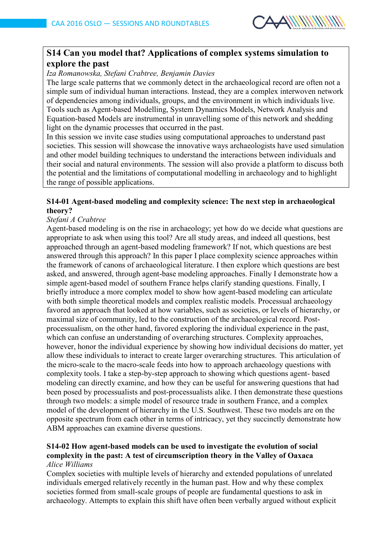

# **S14 Can you model that? Applications of complex systems simulation to explore the past**

*Iza Romanowska, Stefani Crabtree, Benjamin Davies* 

The large scale patterns that we commonly detect in the archaeological record are often not a simple sum of individual human interactions. Instead, they are a complex interwoven network of dependencies among individuals, groups, and the environment in which individuals live. Tools such as Agent-based Modelling, System Dynamics Models, Network Analysis and Equation-based Models are instrumental in unravelling some of this network and shedding light on the dynamic processes that occurred in the past.

In this session we invite case studies using computational approaches to understand past societies. This session will showcase the innovative ways archaeologists have used simulation and other model building techniques to understand the interactions between individuals and their social and natural environments. The session will also provide a platform to discuss both the potential and the limitations of computational modelling in archaeology and to highlight the range of possible applications.

### **S14-01 Agent-based modeling and complexity science: The next step in archaeological theory?**

### *Stefani A Crabtree*

Agent-based modeling is on the rise in archaeology; yet how do we decide what questions are appropriate to ask when using this tool? Are all study areas, and indeed all questions, best approached through an agent-based modeling framework? If not, which questions are best answered through this approach? In this paper I place complexity science approaches within the framework of canons of archaeological literature. I then explore which questions are best asked, and answered, through agent-base modeling approaches. Finally I demonstrate how a simple agent-based model of southern France helps clarify standing questions. Finally, I briefly introduce a more complex model to show how agent-based modeling can articulate with both simple theoretical models and complex realistic models. Processual archaeology favored an approach that looked at how variables, such as societies, or levels of hierarchy, or maximal size of community, led to the construction of the archaeological record. Postprocessualism, on the other hand, favored exploring the individual experience in the past, which can confuse an understanding of overarching structures. Complexity approaches, however, honor the individual experience by showing how individual decisions do matter, yet allow these individuals to interact to create larger overarching structures. This articulation of the micro-scale to the macro-scale feeds into how to approach archaeology questions with complexity tools. I take a step-by-step approach to showing which questions agent- based modeling can directly examine, and how they can be useful for answering questions that had been posed by processualists and post-processualists alike. I then demonstrate these questions through two models: a simple model of resource trade in southern France, and a complex model of the development of hierarchy in the U.S. Southwest. These two models are on the opposite spectrum from each other in terms of intricacy, yet they succinctly demonstrate how ABM approaches can examine diverse questions.

## **S14-02 How agent-based models can be used to investigate the evolution of social complexity in the past: A test of circumscription theory in the Valley of Oaxaca** *Alice Williams*

Complex societies with multiple levels of hierarchy and extended populations of unrelated individuals emerged relatively recently in the human past. How and why these complex societies formed from small-scale groups of people are fundamental questions to ask in archaeology. Attempts to explain this shift have often been verbally argued without explicit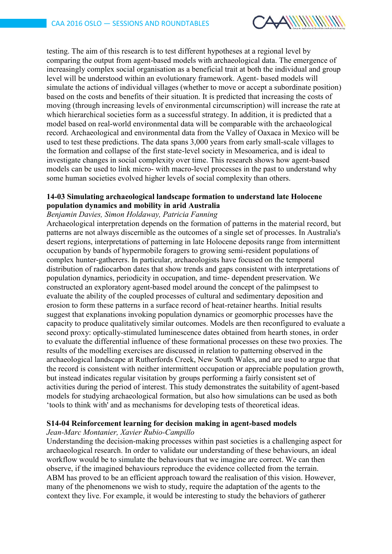

testing. The aim of this research is to test different hypotheses at a regional level by comparing the output from agent-based models with archaeological data. The emergence of increasingly complex social organisation as a beneficial trait at both the individual and group level will be understood within an evolutionary framework. Agent- based models will simulate the actions of individual villages (whether to move or accept a subordinate position) based on the costs and benefits of their situation. It is predicted that increasing the costs of moving (through increasing levels of environmental circumscription) will increase the rate at which hierarchical societies form as a successful strategy. In addition, it is predicted that a model based on real-world environmental data will be comparable with the archaeological record. Archaeological and environmental data from the Valley of Oaxaca in Mexico will be used to test these predictions. The data spans 3,000 years from early small-scale villages to the formation and collapse of the first state-level society in Mesoamerica, and is ideal to investigate changes in social complexity over time. This research shows how agent-based models can be used to link micro- with macro-level processes in the past to understand why some human societies evolved higher levels of social complexity than others.

### **14-03 Simulating archaeological landscape formation to understand late Holocene population dynamics and mobility in arid Australia**

#### *Benjamin Davies, Simon Holdaway, Patricia Fanning*

Archaeological interpretation depends on the formation of patterns in the material record, but patterns are not always discernible as the outcomes of a single set of processes. In Australia's desert regions, interpretations of patterning in late Holocene deposits range from intermittent occupation by bands of hypermobile foragers to growing semi-resident populations of complex hunter-gatherers. In particular, archaeologists have focused on the temporal distribution of radiocarbon dates that show trends and gaps consistent with interpretations of population dynamics, periodicity in occupation, and time- dependent preservation. We constructed an exploratory agent-based model around the concept of the palimpsest to evaluate the ability of the coupled processes of cultural and sedimentary deposition and erosion to form these patterns in a surface record of heat-retainer hearths. Initial results suggest that explanations invoking population dynamics or geomorphic processes have the capacity to produce qualitatively similar outcomes. Models are then reconfigured to evaluate a second proxy: optically-stimulated luminescence dates obtained from hearth stones, in order to evaluate the differential influence of these formational processes on these two proxies. The results of the modelling exercises are discussed in relation to patterning observed in the archaeological landscape at Rutherfords Creek, New South Wales, and are used to argue that the record is consistent with neither intermittent occupation or appreciable population growth, but instead indicates regular visitation by groups performing a fairly consistent set of activities during the period of interest. This study demonstrates the suitability of agent-based models for studying archaeological formation, but also how simulations can be used as both 'tools to think with' and as mechanisms for developing tests of theoretical ideas.

### **S14-04 Reinforcement learning for decision making in agent-based models**

## *Jean-Marc Montanier, Xavier Rubio-Campillo*

Understanding the decision-making processes within past societies is a challenging aspect for archaeological research. In order to validate our understanding of these behaviours, an ideal workflow would be to simulate the behaviours that we imagine are correct. We can then observe, if the imagined behaviours reproduce the evidence collected from the terrain. ABM has proved to be an efficient approach toward the realisation of this vision. However, many of the phenomenons we wish to study, require the adaptation of the agents to the context they live. For example, it would be interesting to study the behaviors of gatherer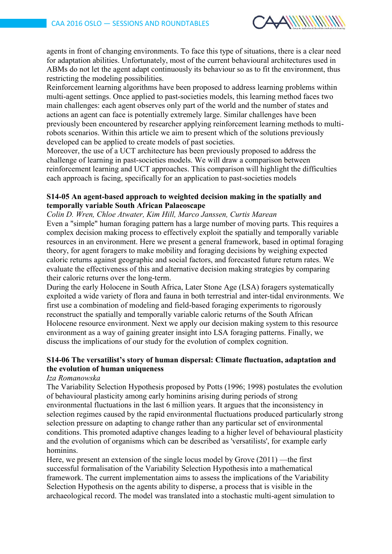

agents in front of changing environments. To face this type of situations, there is a clear need for adaptation abilities. Unfortunately, most of the current behavioural architectures used in ABMs do not let the agent adapt continuously its behaviour so as to fit the environment, thus restricting the modeling possibilities.

Reinforcement learning algorithms have been proposed to address learning problems within multi-agent settings. Once applied to past-societies models, this learning method faces two main challenges: each agent observes only part of the world and the number of states and actions an agent can face is potentially extremely large. Similar challenges have been previously been encountered by researcher applying reinforcement learning methods to multirobots scenarios. Within this article we aim to present which of the solutions previously developed can be applied to create models of past societies.

Moreover, the use of a UCT architecture has been previously proposed to address the challenge of learning in past-societies models. We will draw a comparison between reinforcement learning and UCT approaches. This comparison will highlight the difficulties each approach is facing, specifically for an application to past-societies models

#### **S14-05 An agent-based approach to weighted decision making in the spatially and temporally variable South African Palaeoscape**

*Colin D. Wren, Chloe Atwater, Kim Hill, Marco Janssen, Curtis Marean*

Even a "simple" human foraging pattern has a large number of moving parts. This requires a complex decision making process to effectively exploit the spatially and temporally variable resources in an environment. Here we present a general framework, based in optimal foraging theory, for agent foragers to make mobility and foraging decisions by weighing expected caloric returns against geographic and social factors, and forecasted future return rates. We evaluate the effectiveness of this and alternative decision making strategies by comparing their caloric returns over the long-term.

During the early Holocene in South Africa, Later Stone Age (LSA) foragers systematically exploited a wide variety of flora and fauna in both terrestrial and inter-tidal environments. We first use a combination of modeling and field-based foraging experiments to rigorously reconstruct the spatially and temporally variable caloric returns of the South African Holocene resource environment. Next we apply our decision making system to this resource environment as a way of gaining greater insight into LSA foraging patterns. Finally, we discuss the implications of our study for the evolution of complex cognition.

### **S14-06 The versatilist's story of human dispersal: Climate fluctuation, adaptation and the evolution of human uniqueness**

#### *Iza Romanowska*

The Variability Selection Hypothesis proposed by Potts (1996; 1998) postulates the evolution of behavioural plasticity among early hominins arising during periods of strong environmental fluctuations in the last 6 million years. It argues that the inconsistency in selection regimes caused by the rapid environmental fluctuations produced particularly strong selection pressure on adapting to change rather than any particular set of environmental conditions. This promoted adaptive changes leading to a higher level of behavioural plasticity and the evolution of organisms which can be described as 'versatilists', for example early hominins.

Here, we present an extension of the single locus model by Grove (2011) —the first successful formalisation of the Variability Selection Hypothesis into a mathematical framework. The current implementation aims to assess the implications of the Variability Selection Hypothesis on the agents ability to disperse, a process that is visible in the archaeological record. The model was translated into a stochastic multi-agent simulation to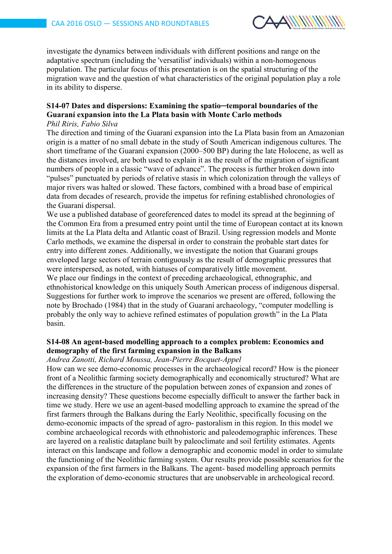

investigate the dynamics between individuals with different positions and range on the adaptative spectrum (including the 'versatilist' individuals) within a non-homogenous population. The particular focus of this presentation is on the spatial structuring of the migration wave and the question of what characteristics of the original population play a role in its ability to disperse.

# **S14-07 Dates and dispersions: Examining the spatio─temporal boundaries of the Guaraní expansion into the La Plata basin with Monte Carlo methods**

# *Phil Riris, Fabio Silva*

The direction and timing of the Guaraní expansion into the La Plata basin from an Amazonian origin is a matter of no small debate in the study of South American indigenous cultures. The short timeframe of the Guaraní expansion (2000–500 BP) during the late Holocene, as well as the distances involved, are both used to explain it as the result of the migration of significant numbers of people in a classic "wave of advance". The process is further broken down into "pulses" punctuated by periods of relative stasis in which colonization through the valleys of major rivers was halted or slowed. These factors, combined with a broad base of empirical data from decades of research, provide the impetus for refining established chronologies of the Guaraní dispersal.

We use a published database of georeferenced dates to model its spread at the beginning of the Common Era from a presumed entry point until the time of European contact at its known limits at the La Plata delta and Atlantic coast of Brazil. Using regression models and Monte Carlo methods, we examine the dispersal in order to constrain the probable start dates for entry into different zones. Additionally, we investigate the notion that Guaraní groups enveloped large sectors of terrain contiguously as the result of demographic pressures that were interspersed, as noted, with hiatuses of comparatively little movement.

We place our findings in the context of preceding archaeological, ethnographic, and ethnohistorical knowledge on this uniquely South American process of indigenous dispersal. Suggestions for further work to improve the scenarios we present are offered, following the note by Brochado (1984) that in the study of Guaraní archaeology, "computer modelling is probably the only way to achieve refined estimates of population growth" in the La Plata basin.

## **S14-08 An agent-based modelling approach to a complex problem: Economics and demography of the first farming expansion in the Balkans**

## *Andrea Zanotti, Richard Moussa, Jean-Pierre Bocquet-Appel*

How can we see demo-economic processes in the archaeological record? How is the pioneer front of a Neolithic farming society demographically and economically structured? What are the differences in the structure of the population between zones of expansion and zones of increasing density? These questions become especially difficult to answer the farther back in time we study. Here we use an agent-based modelling approach to examine the spread of the first farmers through the Balkans during the Early Neolithic, specifically focusing on the demo-economic impacts of the spread of agro- pastoralism in this region. In this model we combine archaeological records with ethnohistoric and paleodemographic inferences. These are layered on a realistic dataplane built by paleoclimate and soil fertility estimates. Agents interact on this landscape and follow a demographic and economic model in order to simulate the functioning of the Neolithic farming system. Our results provide possible scenarios for the expansion of the first farmers in the Balkans. The agent- based modelling approach permits the exploration of demo-economic structures that are unobservable in archeological record.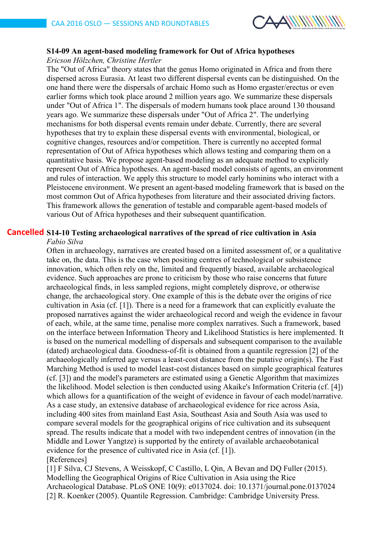

# **S14-09 An agent-based modeling framework for Out of Africa hypotheses**

*Ericson Hölzchen, Christine Hertler*

The "Out of Africa" theory states that the genus Homo originated in Africa and from there dispersed across Eurasia. At least two different dispersal events can be distinguished. On the one hand there were the dispersals of archaic Homo such as Homo ergaster/erectus or even earlier forms which took place around 2 million years ago. We summarize these dispersals under "Out of Africa 1". The dispersals of modern humans took place around 130 thousand years ago. We summarize these dispersals under "Out of Africa 2". The underlying mechanisms for both dispersal events remain under debate. Currently, there are several hypotheses that try to explain these dispersal events with environmental, biological, or cognitive changes, resources and/or competition. There is currently no accepted formal representation of Out of Africa hypotheses which allows testing and comparing them on a quantitative basis. We propose agent-based modeling as an adequate method to explicitly represent Out of Africa hypotheses. An agent-based model consists of agents, an environment and rules of interaction. We apply this structure to model early hominins who interact with a Pleistocene environment. We present an agent-based modeling framework that is based on the most common Out of Africa hypotheses from literature and their associated driving factors. This framework allows the generation of testable and comparable agent-based models of various Out of Africa hypotheses and their subsequent quantification.

#### **S14-10 Testing archaeological narratives of the spread of rice cultivation in Asia Cancelled***Fabio Silva*

Often in archaeology, narratives are created based on a limited assessment of, or a qualitative take on, the data. This is the case when positing centres of technological or subsistence innovation, which often rely on the, limited and frequently biased, available archaeological evidence. Such approaches are prone to criticism by those who raise concerns that future archaeological finds, in less sampled regions, might completely disprove, or otherwise change, the archaeological story. One example of this is the debate over the origins of rice cultivation in Asia (cf. [1]). There is a need for a framework that can explicitly evaluate the proposed narratives against the wider archaeological record and weigh the evidence in favour of each, while, at the same time, penalise more complex narratives. Such a framework, based on the interface between Information Theory and Likelihood Statistics is here implemented. It is based on the numerical modelling of dispersals and subsequent comparison to the available (dated) archaeological data. Goodness-of-fit is obtained from a quantile regression [2] of the archaeologically inferred age versus a least-cost distance from the putative origin(s). The Fast Marching Method is used to model least-cost distances based on simple geographical features (cf. [3]) and the model's parameters are estimated using a Genetic Algorithm that maximizes the likelihood. Model selection is then conducted using Akaike's Information Criteria (cf. [4]) which allows for a quantification of the weight of evidence in favour of each model/narrative. As a case study, an extensive database of archaeological evidence for rice across Asia, including 400 sites from mainland East Asia, Southeast Asia and South Asia was used to compare several models for the geographical origins of rice cultivation and its subsequent spread. The results indicate that a model with two independent centres of innovation (in the Middle and Lower Yangtze) is supported by the entirety of available archaeobotanical evidence for the presence of cultivated rice in Asia (cf. [1]).

[References]

[1] F Silva, CJ Stevens, A Weisskopf, C Castillo, L Qin, A Bevan and DQ Fuller (2015). Modelling the Geographical Origins of Rice Cultivation in Asia using the Rice Archaeological Database. PLoS ONE 10(9): e0137024. doi: 10.1371/journal.pone.0137024 [2] R. Koenker (2005). Quantile Regression. Cambridge: Cambridge University Press.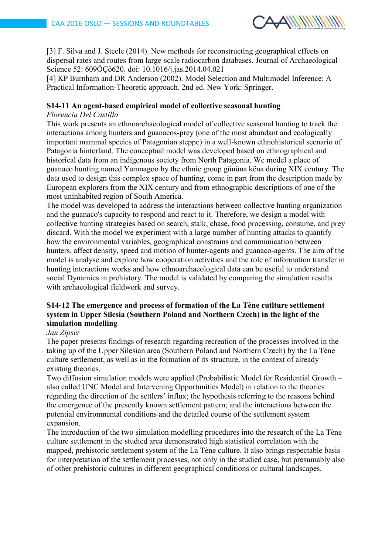

[3] F. Silva and J. Steele (2014). New methods for reconstructing geographical effects on dispersal rates and routes from large-scale radiocarbon databases. Journal of Archaeological Science 52: 609ÔÇô620. doi: 10.1016/j.jas.2014.04.021

[4] KP Burnham and DR Anderson (2002). Model Selection and Multimodel Inference: A Practical Information-Theoretic approach. 2nd ed. New York: Springer.

## **S14-11 An agent-based empirical model of collective seasonal hunting**

#### *Florencia Del Castillo*

This work presents an ethnoarchaeological model of collective seasonal hunting to track the interactions among hunters and guanacos-prey (one of the most abundant and ecologically important mammal species of Patagonian steppe) in a well-known ethnohistorical scenario of Patagonia hinterland. The conceptual model was developed based on ethnographical and historical data from an indigenous society from North Patagonia. We model a place of guanaco hunting named Yamnagoo by the ethnic group gününa këna during XIX century. The data used to design this complex space of hunting, come in part from the description made by European explorers from the XIX century and from ethnographic descriptions of one of the most uninhabited region of South America.

The model was developed to address the interactions between collective hunting organization and the guanaco's capacity to respond and react to it. Therefore, we design a model with collective hunting strategies based on search, stalk, chase, food processing, consume, and prey discard. With the model we experiment with a large number of hunting attacks to quantify how the environmental variables, geographical constrains and communication between hunters, affect density, speed and motion of hunter-agents and guanaco-agents. The aim of the model is analyse and explore how cooperation activities and the role of information transfer in hunting interactions works and how ethnoarchaeological data can be useful to understand social Dynamics in prehistory. The model is validated by comparing the simulation results with archaeological fieldwork and survey.

## **S14-12 The emergence and process of formation of the La Tène cutlture settlement system in Upper Silesia (Southern Poland and Northern Czech) in the light of the simulation modelling**

#### *Jan Zipser*

The paper presents findings of research regarding recreation of the processes involved in the taking up of the Upper Silesian area (Southern Poland and Northern Czech) by the La Tène culture settlement, as well as in the formation of its structure, in the context of already existing theories.

Two diffusion simulation models were applied (Probabilistic Model for Residential Growth – also called UNC Model and Intervening Opportunities Model) in relation to the theories regarding the direction of the settlers' influx; the hypothesis referring to the reasons behind the emergence of the presently known settlement pattern; and the interactions between the potential environmental conditions and the detailed course of the settlement system expansion.

The introduction of the two simulation modelling procedures into the research of the La Tène culture settlement in the studied area demonstrated high statistical correlation with the mapped, prehistoric settlement system of the La Tène culture. It also brings respectable basis for interpretation of the settlement processes, not only in the studied case, but presumably also of other prehistoric cultures in different geographical conditions or cultural landscapes.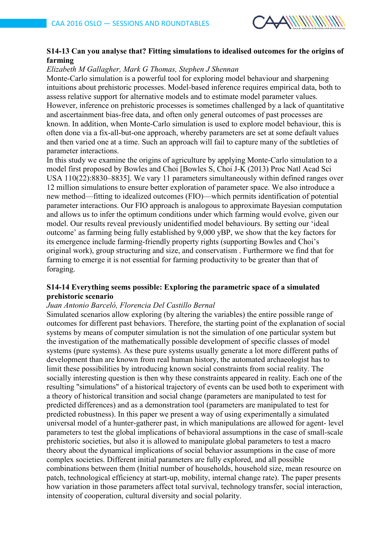

# **S14-13 Can you analyse that? Fitting simulations to idealised outcomes for the origins of farming**

#### *Elizabeth M Gallagher, Mark G Thomas, Stephen J Shennan*

Monte-Carlo simulation is a powerful tool for exploring model behaviour and sharpening intuitions about prehistoric processes. Model-based inference requires empirical data, both to assess relative support for alternative models and to estimate model parameter values. However, inference on prehistoric processes is sometimes challenged by a lack of quantitative and ascertainment bias-free data, and often only general outcomes of past processes are known. In addition, when Monte-Carlo simulation is used to explore model behaviour, this is often done via a fix-all-but-one approach, whereby parameters are set at some default values and then varied one at a time. Such an approach will fail to capture many of the subtleties of parameter interactions.

In this study we examine the origins of agriculture by applying Monte-Carlo simulation to a model first proposed by Bowles and Choi [Bowles S, Choi J-K (2013) Proc Natl Acad Sci USA 110(22):8830–8835]. We vary 11 parameters simultaneously within defined ranges over 12 million simulations to ensure better exploration of parameter space. We also introduce a new method—fitting to idealized outcomes (FIO)—which permits identification of potential parameter interactions. Our FIO approach is analogous to approximate Bayesian computation and allows us to infer the optimum conditions under which farming would evolve, given our model. Our results reveal previously unidentified model behaviours. By setting our 'ideal outcome' as farming being fully established by 9,000 yBP, we show that the key factors for its emergence include farming-friendly property rights (supporting Bowles and Choi's original work), group structuring and size, and conservatism . Furthermore we find that for farming to emerge it is not essential for farming productivity to be greater than that of foraging.

#### **S14-14 Everything seems possible: Exploring the parametric space of a simulated prehistoric scenario**

#### *Juan Antonio Barceló, Florencia Del Castillo Bernal*

Simulated scenarios allow exploring (by altering the variables) the entire possible range of outcomes for different past behaviors. Therefore, the starting point of the explanation of social systems by means of computer simulation is not the simulation of one particular system but the investigation of the mathematically possible development of specific classes of model systems (pure systems). As these pure systems usually generate a lot more different paths of development than are known from real human history, the automated archaeologist has to limit these possibilities by introducing known social constraints from social reality. The socially interesting question is then why these constraints appeared in reality. Each one of the resulting "simulations" of a historical trajectory of events can be used both to experiment with a theory of historical transition and social change (parameters are manipulated to test for predicted differences) and as a demonstration tool (parameters are manipulated to test for predicted robustness). In this paper we present a way of using experimentally a simulated universal model of a hunter-gatherer past, in which manipulations are allowed for agent- level parameters to test the global implications of behavioral assumptions in the case of small-scale prehistoric societies, but also it is allowed to manipulate global parameters to test a macro theory about the dynamical implications of social behavior assumptions in the case of more complex societies. Different initial parameters are fully explored, and all possible combinations between them (Initial number of households, household size, mean resource on patch, technological efficiency at start-up, mobility, internal change rate). The paper presents how variation in those parameters affect total survival, technology transfer, social interaction, intensity of cooperation, cultural diversity and social polarity.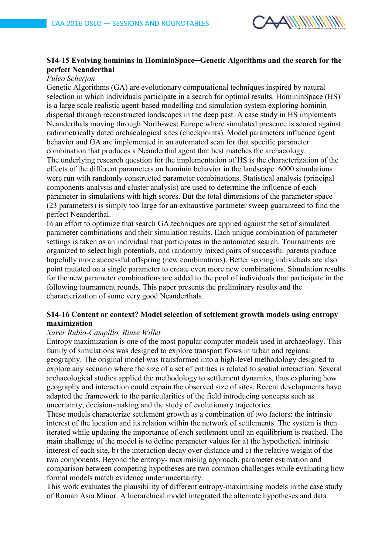

## **S14-15 Evolving hominins in HomininSpace─Genetic Algorithms and the search for the perfect Neanderthal**

# *Fulco Scherjon*

Genetic Algorithms (GA) are evolutionary computational techniques inspired by natural selection in which individuals participate in a search for optimal results. HomininSpace (HS) is a large scale realistic agent-based modelling and simulation system exploring hominin dispersal through reconstructed landscapes in the deep past. A case study in HS implements Neanderthals moving through North-west Europe where simulated presence is scored against radiometrically dated archaeological sites (checkpoints). Model parameters influence agent behavior and GA are implemented in an automated scan for that specific parameter combination that produces a Neanderthal agent that best matches the archaeology. The underlying research question for the implementation of HS is the characterization of the effects of the different parameters on hominin behavior in the landscape. 6000 simulations were run with randomly constructed parameter combinations. Statistical analysis (principal components analysis and cluster analysis) are used to determine the influence of each parameter in simulations with high scores. But the total dimensions of the parameter space (23 parameters) is simply too large for an exhaustive parameter sweep guaranteed to find the perfect Neanderthal.

In an effort to optimize that search GA techniques are applied against the set of simulated parameter combinations and their simulation results. Each unique combination of parameter settings is taken as an individual that participates in the automated search. Tournaments are organized to select high potentials, and randomly mixed pairs of successful parents produce hopefully more successful offspring (new combinations). Better scoring individuals are also point mutated on a single parameter to create even more new combinations. Simulation results for the new parameter combinations are added to the pool of individuals that participate in the following tournament rounds. This paper presents the preliminary results and the characterization of some very good Neanderthals.

## **S14-16 Content or context? Model selection of settlement growth models using entropy maximization**

### *Xaver Rubio-Campillo, Rinse Willet*

Entropy maximization is one of the most popular computer models used in archaeology. This family of simulations was designed to explore transport flows in urban and regional geography. The original model was transformed into a high-level methodology designed to explore any scenario where the size of a set of entities is related to spatial interaction. Several archaeological studies applied the methodology to settlement dynamics, thus exploring how geography and interaction could expain the observed size of sites. Recent developments have adapted the framework to the particularities of the field introducing concepts such as uncertainty, decision-making and the study of evolutionary trajectories.

These models characterize settlement growth as a combination of two factors: the intrinsic interest of the location and its relation within the network of settlements. The system is then iterated while updating the importance of each settlement until an equilibrium is reached. The main challenge of the model is to define parameter values for a) the hypothetical intrinsic interest of each site, b) the interaction decay over distance and c) the relative weight of the two components. Beyond the entropy- maximising approach, parameter estimation and comparison between competing hypotheses are two common challenges while evaluating how formal models match evidence under uncertainty.

This work evaluates the plausibility of different entropy-maximising models in the case study of Roman Asia Minor. A hierarchical model integrated the alternate hypotheses and data